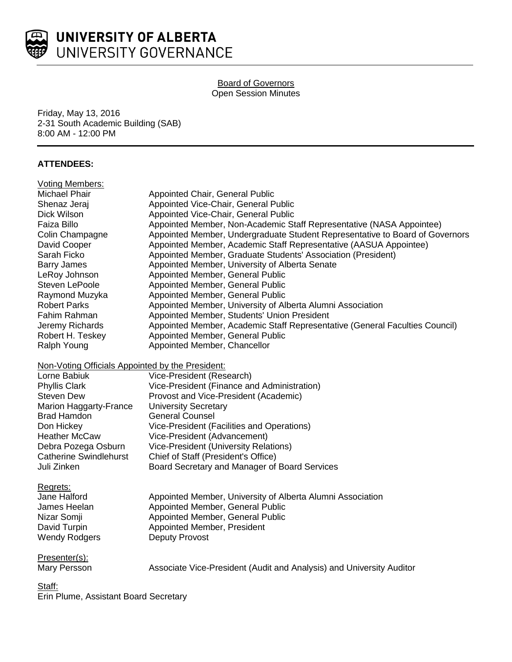

# Board of Governors Open Session Minutes

Friday, May 13, 2016 2-31 South Academic Building (SAB) 8:00 AM - 12:00 PM

# **ATTENDEES:**

| <b>Voting Members:</b>                           |                                                                              |
|--------------------------------------------------|------------------------------------------------------------------------------|
| <b>Michael Phair</b>                             | Appointed Chair, General Public                                              |
| Shenaz Jeraj                                     | Appointed Vice-Chair, General Public                                         |
| Dick Wilson                                      | Appointed Vice-Chair, General Public                                         |
| Faiza Billo                                      | Appointed Member, Non-Academic Staff Representative (NASA Appointee)         |
| Colin Champagne                                  | Appointed Member, Undergraduate Student Representative to Board of Governors |
| David Cooper                                     | Appointed Member, Academic Staff Representative (AASUA Appointee)            |
| Sarah Ficko                                      | Appointed Member, Graduate Students' Association (President)                 |
| <b>Barry James</b>                               | Appointed Member, University of Alberta Senate                               |
| LeRoy Johnson                                    | Appointed Member, General Public                                             |
| Steven LePoole                                   | Appointed Member, General Public                                             |
| Raymond Muzyka                                   | Appointed Member, General Public                                             |
| <b>Robert Parks</b>                              | Appointed Member, University of Alberta Alumni Association                   |
| Fahim Rahman                                     | Appointed Member, Students' Union President                                  |
| Jeremy Richards                                  | Appointed Member, Academic Staff Representative (General Faculties Council)  |
| Robert H. Teskey                                 | Appointed Member, General Public                                             |
| Ralph Young                                      | Appointed Member, Chancellor                                                 |
| Non-Voting Officials Appointed by the President: |                                                                              |
| Lorne Babiuk                                     | Vice-President (Research)                                                    |
| <b>Phyllis Clark</b>                             | Vice-President (Finance and Administration)                                  |
| <b>Steven Dew</b>                                | Provost and Vice-President (Academic)                                        |
| Marion Haggarty-France                           | <b>University Secretary</b>                                                  |
| <b>Brad Hamdon</b>                               | <b>General Counsel</b>                                                       |
| Don Hickey                                       | Vice-President (Facilities and Operations)                                   |
| <b>Heather McCaw</b>                             | Vice-President (Advancement)                                                 |
| Debra Pozega Osburn                              | Vice-President (University Relations)                                        |
| <b>Catherine Swindlehurst</b>                    | Chief of Staff (President's Office)                                          |
| Juli Zinken                                      | Board Secretary and Manager of Board Services                                |
| Regrets:                                         |                                                                              |
| Jane Halford                                     | Appointed Member, University of Alberta Alumni Association                   |
| James Heelan                                     | Appointed Member, General Public                                             |
| Nizar Somji                                      | Appointed Member, General Public                                             |
| David Turpin                                     | Appointed Member, President                                                  |
| <b>Wendy Rodgers</b>                             | <b>Deputy Provost</b>                                                        |
| Presenter(s):                                    |                                                                              |
| Mary Persson                                     | Associate Vice-President (Audit and Analysis) and University Auditor         |
| Staff:                                           |                                                                              |

Erin Plume, Assistant Board Secretary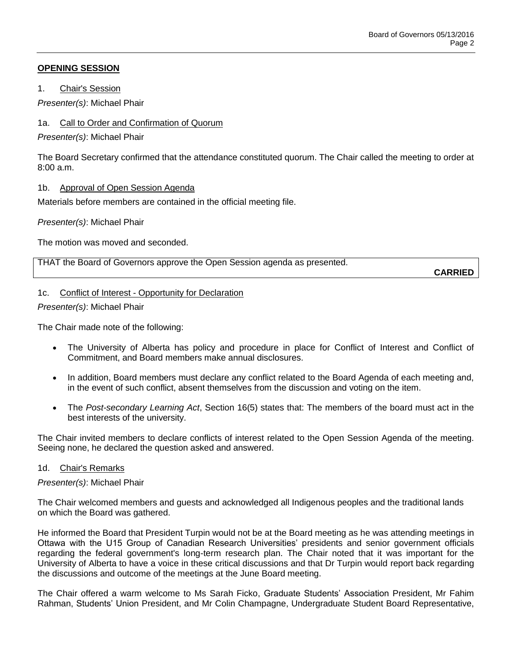# **OPENING SESSION**

1. Chair's Session

*Presenter(s)*: Michael Phair

# 1a. Call to Order and Confirmation of Quorum

*Presenter(s)*: Michael Phair

The Board Secretary confirmed that the attendance constituted quorum. The Chair called the meeting to order at 8:00 a.m.

## 1b. Approval of Open Session Agenda

Materials before members are contained in the official meeting file.

*Presenter(s)*: Michael Phair

The motion was moved and seconded.

THAT the Board of Governors approve the Open Session agenda as presented.

**CARRIED**

# 1c. Conflict of Interest - Opportunity for Declaration

*Presenter(s)*: Michael Phair

The Chair made note of the following:

- The University of Alberta has policy and procedure in place for Conflict of Interest and Conflict of Commitment, and Board members make annual disclosures.
- In addition, Board members must declare any conflict related to the Board Agenda of each meeting and, in the event of such conflict, absent themselves from the discussion and voting on the item.
- The *Post-secondary Learning Act*, Section 16(5) states that: The members of the board must act in the best interests of the university.

The Chair invited members to declare conflicts of interest related to the Open Session Agenda of the meeting. Seeing none, he declared the question asked and answered.

## 1d. Chair's Remarks

## *Presenter(s)*: Michael Phair

The Chair welcomed members and guests and acknowledged all Indigenous peoples and the traditional lands on which the Board was gathered.

He informed the Board that President Turpin would not be at the Board meeting as he was attending meetings in Ottawa with the U15 Group of Canadian Research Universities' presidents and senior government officials regarding the federal government's long-term research plan. The Chair noted that it was important for the University of Alberta to have a voice in these critical discussions and that Dr Turpin would report back regarding the discussions and outcome of the meetings at the June Board meeting.

The Chair offered a warm welcome to Ms Sarah Ficko, Graduate Students' Association President, Mr Fahim Rahman, Students' Union President, and Mr Colin Champagne, Undergraduate Student Board Representative,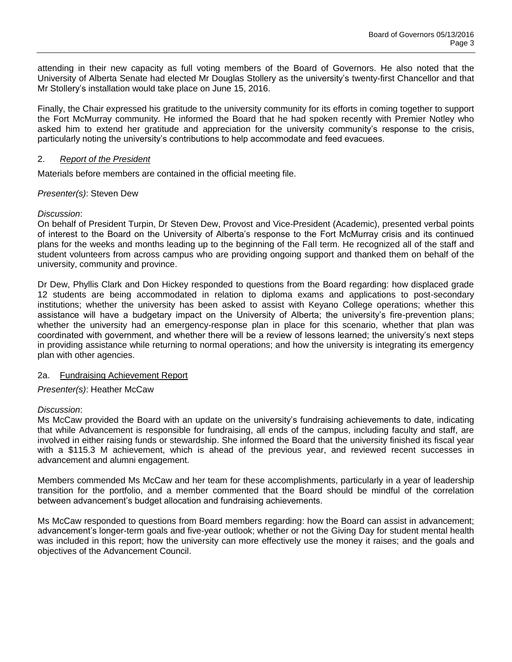attending in their new capacity as full voting members of the Board of Governors. He also noted that the University of Alberta Senate had elected Mr Douglas Stollery as the university's twenty-first Chancellor and that Mr Stollery's installation would take place on June 15, 2016.

Finally, the Chair expressed his gratitude to the university community for its efforts in coming together to support the Fort McMurray community. He informed the Board that he had spoken recently with Premier Notley who asked him to extend her gratitude and appreciation for the university community's response to the crisis, particularly noting the university's contributions to help accommodate and feed evacuees.

### 2. *Report of the President*

Materials before members are contained in the official meeting file.

## *Presenter(s)*: Steven Dew

### *Discussion*:

On behalf of President Turpin, Dr Steven Dew, Provost and Vice-President (Academic), presented verbal points of interest to the Board on the University of Alberta's response to the Fort McMurray crisis and its continued plans for the weeks and months leading up to the beginning of the Fall term. He recognized all of the staff and student volunteers from across campus who are providing ongoing support and thanked them on behalf of the university, community and province.

Dr Dew, Phyllis Clark and Don Hickey responded to questions from the Board regarding: how displaced grade 12 students are being accommodated in relation to diploma exams and applications to post-secondary institutions; whether the university has been asked to assist with Keyano College operations; whether this assistance will have a budgetary impact on the University of Alberta; the university's fire-prevention plans; whether the university had an emergency-response plan in place for this scenario, whether that plan was coordinated with government, and whether there will be a review of lessons learned; the university's next steps in providing assistance while returning to normal operations; and how the university is integrating its emergency plan with other agencies.

#### 2a. Fundraising Achievement Report

## *Presenter(s)*: Heather McCaw

#### *Discussion*:

Ms McCaw provided the Board with an update on the university's fundraising achievements to date, indicating that while Advancement is responsible for fundraising, all ends of the campus, including faculty and staff, are involved in either raising funds or stewardship. She informed the Board that the university finished its fiscal year with a \$115.3 M achievement, which is ahead of the previous year, and reviewed recent successes in advancement and alumni engagement.

Members commended Ms McCaw and her team for these accomplishments, particularly in a year of leadership transition for the portfolio, and a member commented that the Board should be mindful of the correlation between advancement's budget allocation and fundraising achievements.

Ms McCaw responded to questions from Board members regarding: how the Board can assist in advancement; advancement's longer-term goals and five-year outlook; whether or not the Giving Day for student mental health was included in this report; how the university can more effectively use the money it raises; and the goals and objectives of the Advancement Council.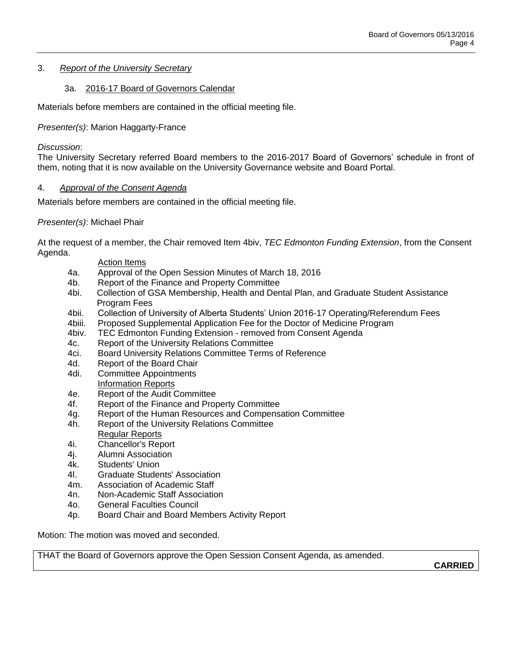## 3. *Report of the University Secretary*

### 3a. 2016-17 Board of Governors Calendar

Materials before members are contained in the official meeting file.

*Presenter(s)*: Marion Haggarty-France

### *Discussion*:

The University Secretary referred Board members to the 2016-2017 Board of Governors' schedule in front of them, noting that it is now available on the University Governance website and Board Portal.

#### 4. *Approval of the Consent Agenda*

Materials before members are contained in the official meeting file.

### *Presenter(s)*: Michael Phair

At the request of a member, the Chair removed Item 4biv, *TEC Edmonton Funding Extension*, from the Consent Agenda.

#### Action Items

- 4a. Approval of the Open Session Minutes of March 18, 2016
- 4b. Report of the Finance and Property Committee
- 4bi. Collection of GSA Membership, Health and Dental Plan, and Graduate Student Assistance Program Fees
- 4bii. Collection of University of Alberta Students' Union 2016-17 Operating/Referendum Fees
- 4biii. Proposed Supplemental Application Fee for the Doctor of Medicine Program
- 4biv. TEC Edmonton Funding Extension removed from Consent Agenda
- 4c. Report of the University Relations Committee
- 4ci. Board University Relations Committee Terms of Reference
- 4d. Report of the Board Chair
- 4di. Committee Appointments Information Reports
- 4e. Report of the Audit Committee
- 4f. Report of the Finance and Property Committee
- 4g. Report of the Human Resources and Compensation Committee
- 4h. Report of the University Relations Committee
- Regular Reports
- 4i. Chancellor's Report
- 4j. Alumni Association
- 4k. Students' Union
- 4l. Graduate Students' Association
- 4m. Association of Academic Staff
- 4n. Non-Academic Staff Association
- 4o. General Faculties Council
- 4p. Board Chair and Board Members Activity Report

Motion: The motion was moved and seconded.

THAT the Board of Governors approve the Open Session Consent Agenda, as amended.

**CARRIED**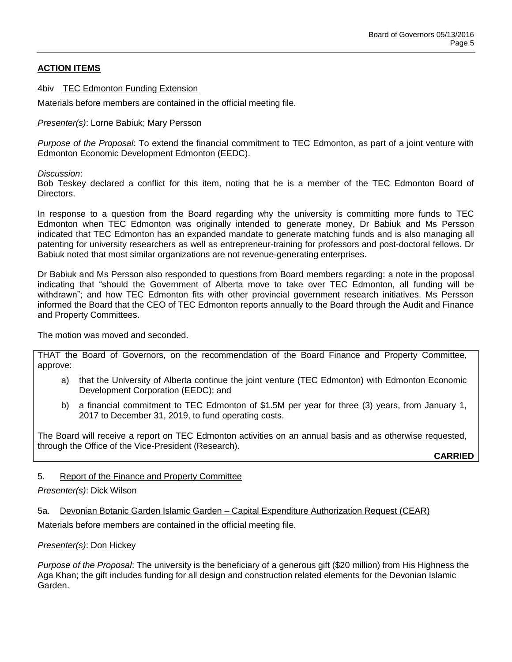# **ACTION ITEMS**

4biv TEC Edmonton Funding Extension

Materials before members are contained in the official meeting file.

*Presenter(s)*: Lorne Babiuk; Mary Persson

*Purpose of the Proposal*: To extend the financial commitment to TEC Edmonton, as part of a joint venture with Edmonton Economic Development Edmonton (EEDC).

*Discussion*:

Bob Teskey declared a conflict for this item, noting that he is a member of the TEC Edmonton Board of Directors.

In response to a question from the Board regarding why the university is committing more funds to TEC Edmonton when TEC Edmonton was originally intended to generate money, Dr Babiuk and Ms Persson indicated that TEC Edmonton has an expanded mandate to generate matching funds and is also managing all patenting for university researchers as well as entrepreneur-training for professors and post-doctoral fellows. Dr Babiuk noted that most similar organizations are not revenue-generating enterprises.

Dr Babiuk and Ms Persson also responded to questions from Board members regarding: a note in the proposal indicating that "should the Government of Alberta move to take over TEC Edmonton, all funding will be withdrawn"; and how TEC Edmonton fits with other provincial government research initiatives. Ms Persson informed the Board that the CEO of TEC Edmonton reports annually to the Board through the Audit and Finance and Property Committees.

The motion was moved and seconded.

THAT the Board of Governors, on the recommendation of the Board Finance and Property Committee, approve:

- a) that the University of Alberta continue the joint venture (TEC Edmonton) with Edmonton Economic Development Corporation (EEDC); and
- b) a financial commitment to TEC Edmonton of \$1.5M per year for three (3) years, from January 1, 2017 to December 31, 2019, to fund operating costs.

The Board will receive a report on TEC Edmonton activities on an annual basis and as otherwise requested, through the Office of the Vice-President (Research).

**CARRIED**

## 5. Report of the Finance and Property Committee

#### *Presenter(s)*: Dick Wilson

5a. Devonian Botanic Garden Islamic Garden – Capital Expenditure Authorization Request (CEAR)

Materials before members are contained in the official meeting file.

#### *Presenter(s)*: Don Hickey

*Purpose of the Proposal*: The university is the beneficiary of a generous gift (\$20 million) from His Highness the Aga Khan; the gift includes funding for all design and construction related elements for the Devonian Islamic Garden.